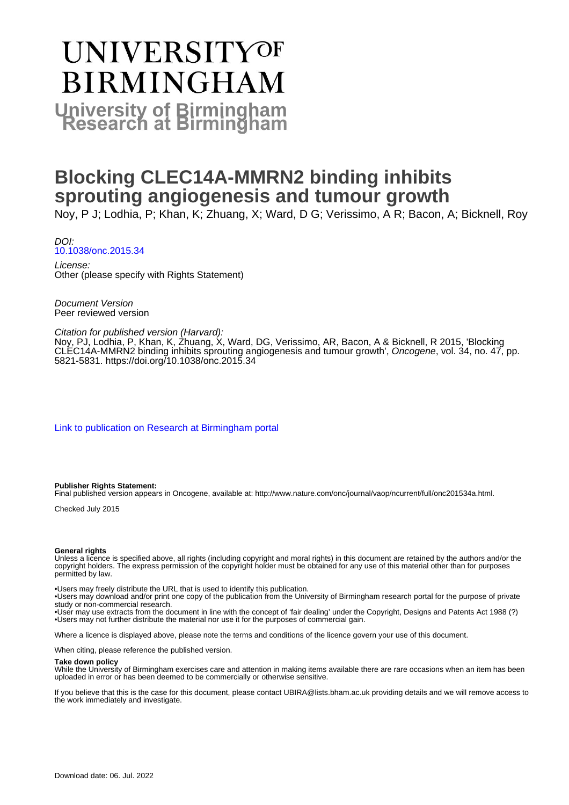# UNIVERSITYOF **BIRMINGHAM University of Birmingham**

## **Blocking CLEC14A-MMRN2 binding inhibits sprouting angiogenesis and tumour growth**

Noy, P J; Lodhia, P; Khan, K; Zhuang, X; Ward, D G; Verissimo, A R; Bacon, A; Bicknell, Roy

DOI: [10.1038/onc.2015.34](https://doi.org/10.1038/onc.2015.34)

License: Other (please specify with Rights Statement)

Document Version Peer reviewed version

#### Citation for published version (Harvard):

Noy, PJ, Lodhia, P, Khan, K, Zhuang, X, Ward, DG, Verissimo, AR, Bacon, A & Bicknell, R 2015, 'Blocking CLEC14A-MMRN2 binding inhibits sprouting angiogenesis and tumour growth', Oncogene, vol. 34, no. 47, pp. 5821-5831.<https://doi.org/10.1038/onc.2015.34>

[Link to publication on Research at Birmingham portal](https://birmingham.elsevierpure.com/en/publications/0c42b4cb-80f8-4e6e-a841-39796197b6c2)

#### **Publisher Rights Statement:**

Final published version appears in Oncogene, available at: http://www.nature.com/onc/journal/vaop/ncurrent/full/onc201534a.html.

Checked July 2015

#### **General rights**

Unless a licence is specified above, all rights (including copyright and moral rights) in this document are retained by the authors and/or the copyright holders. The express permission of the copyright holder must be obtained for any use of this material other than for purposes permitted by law.

• Users may freely distribute the URL that is used to identify this publication.

• Users may download and/or print one copy of the publication from the University of Birmingham research portal for the purpose of private study or non-commercial research.

• User may use extracts from the document in line with the concept of 'fair dealing' under the Copyright, Designs and Patents Act 1988 (?) • Users may not further distribute the material nor use it for the purposes of commercial gain.

Where a licence is displayed above, please note the terms and conditions of the licence govern your use of this document.

When citing, please reference the published version.

#### **Take down policy**

While the University of Birmingham exercises care and attention in making items available there are rare occasions when an item has been uploaded in error or has been deemed to be commercially or otherwise sensitive.

If you believe that this is the case for this document, please contact UBIRA@lists.bham.ac.uk providing details and we will remove access to the work immediately and investigate.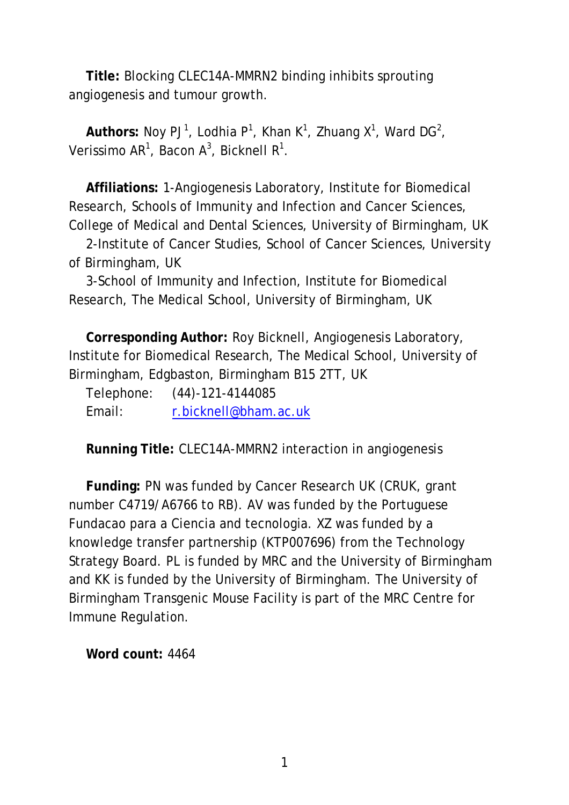**Title:** Blocking CLEC14A-MMRN2 binding inhibits sprouting angiogenesis and tumour growth.

Authors: Noy PJ<sup>1</sup>, Lodhia P<sup>1</sup>, Khan K<sup>1</sup>, Zhuang X<sup>1</sup>, Ward DG<sup>2</sup>, Verissimo AR<sup>1</sup>, Bacon A<sup>3</sup>, Bicknell R<sup>1</sup>.

**Affiliations:** 1-Angiogenesis Laboratory, Institute for Biomedical Research, Schools of Immunity and Infection and Cancer Sciences, College of Medical and Dental Sciences, University of Birmingham, UK

2-Institute of Cancer Studies, School of Cancer Sciences, University of Birmingham, UK

3-School of Immunity and Infection, Institute for Biomedical Research, The Medical School, University of Birmingham, UK

**Corresponding Author:** Roy Bicknell, Angiogenesis Laboratory, Institute for Biomedical Research, The Medical School, University of Birmingham, Edgbaston, Birmingham B15 2TT, UK

Telephone: (44)-121-4144085 Email: [r.bicknell@bham.ac.uk](mailto:r.bicknell@bham.ac.uk)

**Running Title:** CLEC14A-MMRN2 interaction in angiogenesis

**Funding:** PN was funded by Cancer Research UK (CRUK, grant number C4719/A6766 to RB). AV was funded by the Portuguese Fundacao para a Ciencia and tecnologia. XZ was funded by a knowledge transfer partnership (KTP007696) from the Technology Strategy Board. PL is funded by MRC and the University of Birmingham and KK is funded by the University of Birmingham. The University of Birmingham Transgenic Mouse Facility is part of the MRC Centre for Immune Regulation.

**Word count:** 4464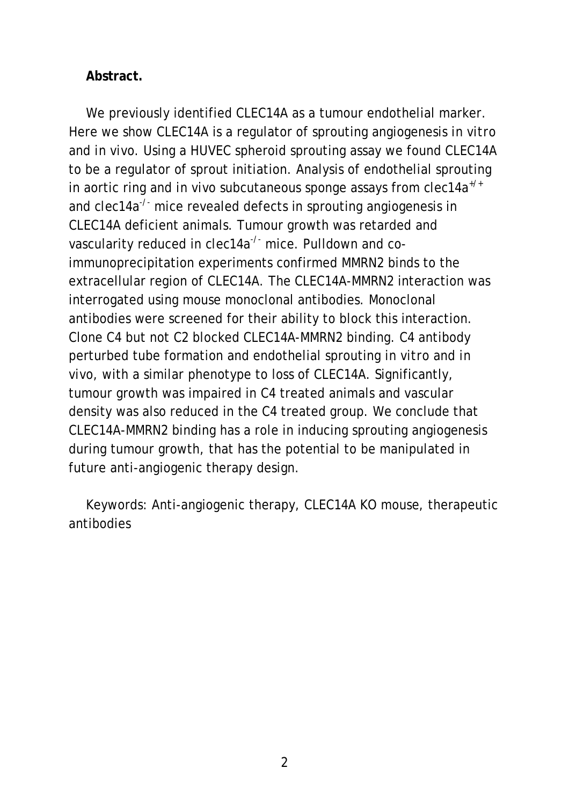#### **Abstract.**

We previously identified CLEC14A as a tumour endothelial marker. Here we show CLEC14A is a regulator of sprouting angiogenesis *in vitro*  and *in vivo*. Using a HUVEC spheroid sprouting assay we found CLEC14A to be a regulator of sprout initiation. Analysis of endothelial sprouting in aortic ring and *in vivo* subcutaneous sponge assays from *clec14a+/+* and *clec14a<sup>-/-</sup>* mice revealed defects in sprouting angiogenesis in CLEC14A deficient animals. Tumour growth was retarded and vascularity reduced in *clec14a<sup>-/-</sup>* mice. Pulldown and coimmunoprecipitation experiments confirmed MMRN2 binds to the extracellular region of CLEC14A. The CLEC14A-MMRN2 interaction was interrogated using mouse monoclonal antibodies. Monoclonal antibodies were screened for their ability to block this interaction. Clone C4 but not C2 blocked CLEC14A-MMRN2 binding. C4 antibody perturbed tube formation and endothelial sprouting *in vitro* and *in vivo*, with a similar phenotype to loss of CLEC14A. Significantly, tumour growth was impaired in C4 treated animals and vascular density was also reduced in the C4 treated group. We conclude that CLEC14A-MMRN2 binding has a role in inducing sprouting angiogenesis during tumour growth, that has the potential to be manipulated in future anti-angiogenic therapy design.

Keywords: Anti-angiogenic therapy, CLEC14A KO mouse, therapeutic antibodies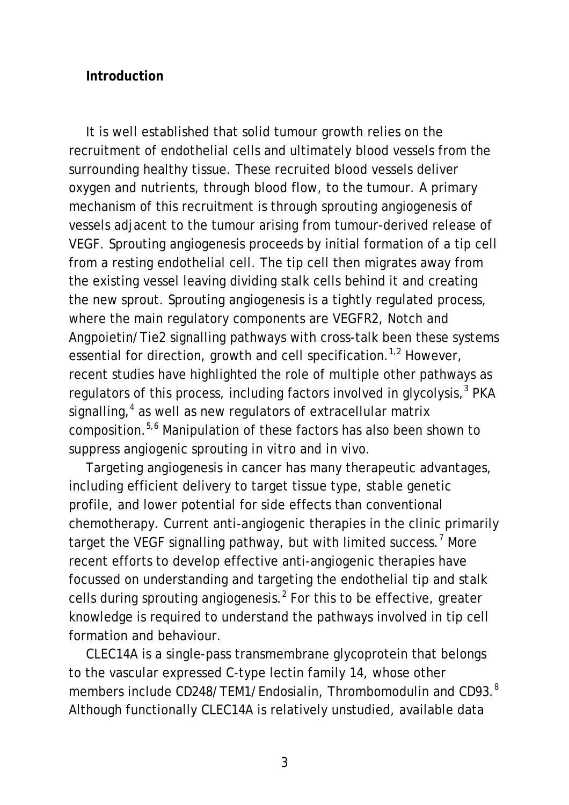#### **Introduction**

It is well established that solid tumour growth relies on the recruitment of endothelial cells and ultimately blood vessels from the surrounding healthy tissue. These recruited blood vessels deliver oxygen and nutrients, through blood flow, to the tumour. A primary mechanism of this recruitment is through sprouting angiogenesis of vessels adjacent to the tumour arising from tumour-derived release of VEGF. Sprouting angiogenesis proceeds by initial formation of a tip cell from a resting endothelial cell. The tip cell then migrates away from the existing vessel leaving dividing stalk cells behind it and creating the new sprout. Sprouting angiogenesis is a tightly regulated process, where the main regulatory components are VEGFR2, Notch and Angpoietin/Tie2 signalling pathways with cross-talk been these systems essential for direction, growth and cell specification.<sup>1,2</sup> However, recent studies have highlighted the role of multiple other pathways as regulators of this process, including factors involved in glycolysis,<sup>3</sup> PKA signalling, $4$  as well as new regulators of extracellular matrix composition.5,6 Manipulation of these factors has also been shown to suppress angiogenic sprouting *in vitro* and *in vivo*.

Targeting angiogenesis in cancer has many therapeutic advantages, including efficient delivery to target tissue type, stable genetic profile, and lower potential for side effects than conventional chemotherapy. Current anti-angiogenic therapies in the clinic primarily target the VEGF signalling pathway, but with limited success.<sup>7</sup> More recent efforts to develop effective anti-angiogenic therapies have focussed on understanding and targeting the endothelial tip and stalk cells during sprouting angiogenesis. $<sup>2</sup>$  For this to be effective, greater</sup> knowledge is required to understand the pathways involved in tip cell formation and behaviour.

CLEC14A is a single-pass transmembrane glycoprotein that belongs to the vascular expressed C-type lectin family 14, whose other members include CD248/TEM1/Endosialin, Thrombomodulin and CD93.<sup>8</sup> Although functionally CLEC14A is relatively unstudied, available data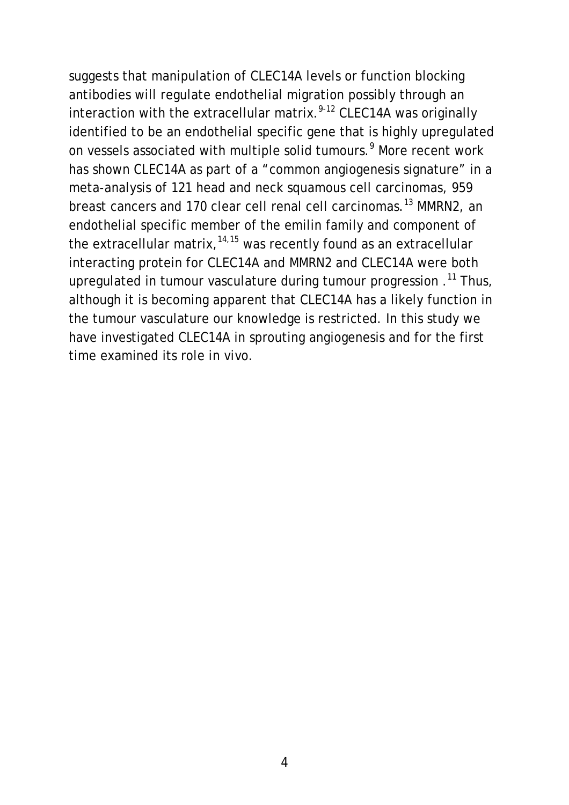suggests that manipulation of CLEC14A levels or function blocking antibodies will regulate endothelial migration possibly through an interaction with the extracellular matrix. 9-12 CLEC14A was originally identified to be an endothelial specific gene that is highly upregulated on vessels associated with multiple solid tumours. <sup>9</sup> More recent work has shown CLEC14A as part of a "common angiogenesis signature" in a meta-analysis of 121 head and neck squamous cell carcinomas, 959 breast cancers and 170 clear cell renal cell carcinomas.<sup>13</sup> MMRN2, an endothelial specific member of the emilin family and component of the extracellular matrix,  $14,15$  was recently found as an extracellular interacting protein for CLEC14A and MMRN2 and CLEC14A were both upregulated in tumour vasculature during tumour progression .<sup>11</sup> Thus, although it is becoming apparent that CLEC14A has a likely function in the tumour vasculature our knowledge is restricted. In this study we have investigated CLEC14A in sprouting angiogenesis and for the first time examined its role *in vivo*.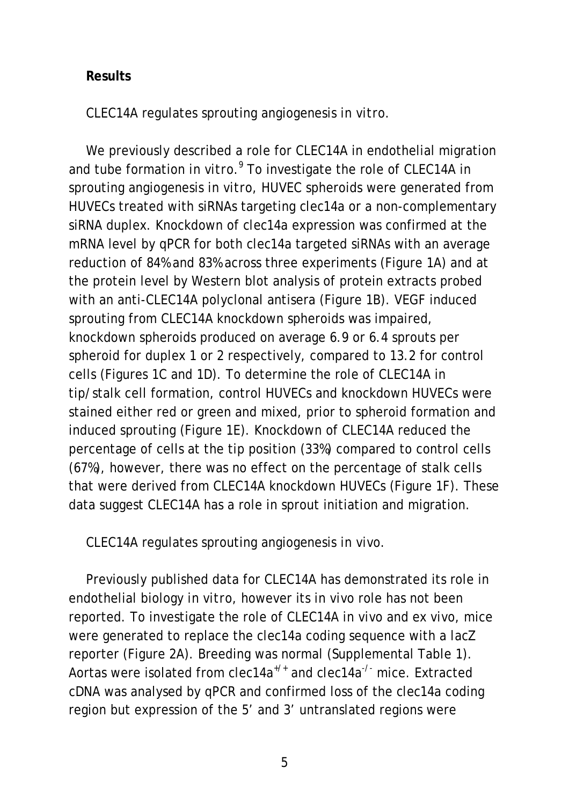#### **Results**

CLEC14A regulates sprouting angiogenesis *in vitro*.

We previously described a role for CLEC14A in endothelial migration and tube formation *in vitro*. <sup>9</sup> To investigate the role of CLEC14A in sprouting angiogenesis *in vitro*, HUVEC spheroids were generated from HUVECs treated with siRNAs targeting *clec14a* or a non-complementary siRNA duplex. Knockdown of *clec14a* expression was confirmed at the mRNA level by qPCR for both *clec14a* targeted siRNAs with an average reduction of 84% and 83% across three experiments (Figure 1A) and at the protein level by Western blot analysis of protein extracts probed with an anti-CLEC14A polyclonal antisera (Figure 1B). VEGF induced sprouting from CLEC14A knockdown spheroids was impaired, knockdown spheroids produced on average 6.9 or 6.4 sprouts per spheroid for duplex 1 or 2 respectively, compared to 13.2 for control cells (Figures 1C and 1D). To determine the role of CLEC14A in tip/stalk cell formation, control HUVECs and knockdown HUVECs were stained either red or green and mixed, prior to spheroid formation and induced sprouting (Figure 1E). Knockdown of CLEC14A reduced the percentage of cells at the tip position (33%) compared to control cells (67%), however, there was no effect on the percentage of stalk cells that were derived from CLEC14A knockdown HUVECs (Figure 1F). These data suggest CLEC14A has a role in sprout initiation and migration.

CLEC14A regulates sprouting angiogenesis *in vivo*.

Previously published data for CLEC14A has demonstrated its role in endothelial biology *in vitro*, however its *in vivo* role has not been reported. To investigate the role of CLEC14A *in vivo* and *ex vivo*, mice were generated to replace the *clec14a* coding sequence with a *lacZ* reporter (Figure 2A). Breeding was normal (Supplemental Table 1). Aortas were isolated from *clec14a+/+* and *clec14a-/-* mice. Extracted cDNA was analysed by qPCR and confirmed loss of the *clec14a* coding region but expression of the 5' and 3' untranslated regions were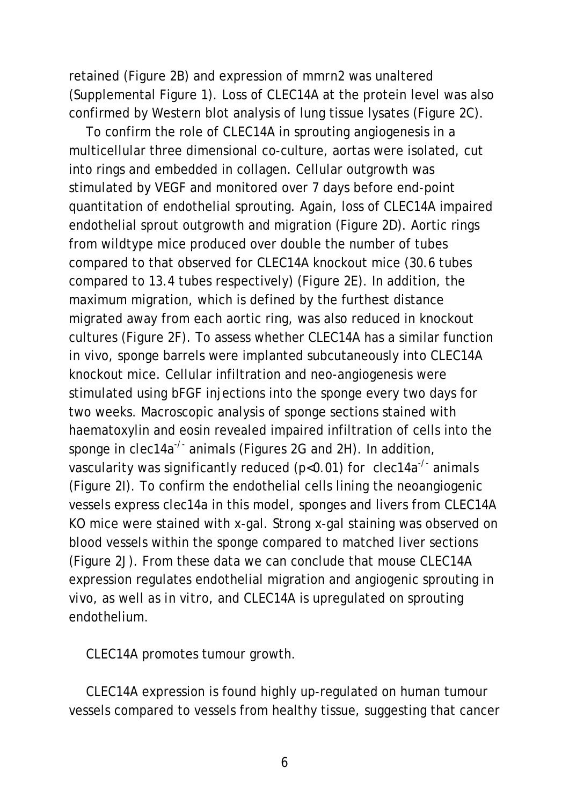retained (Figure 2B) and expression of *mmrn2* was unaltered (Supplemental Figure 1). Loss of CLEC14A at the protein level was also confirmed by Western blot analysis of lung tissue lysates (Figure 2C).

To confirm the role of CLEC14A in sprouting angiogenesis in a multicellular three dimensional co-culture, aortas were isolated, cut into rings and embedded in collagen. Cellular outgrowth was stimulated by VEGF and monitored over 7 days before end-point quantitation of endothelial sprouting. Again, loss of CLEC14A impaired endothelial sprout outgrowth and migration (Figure 2D). Aortic rings from wildtype mice produced over double the number of tubes compared to that observed for CLEC14A knockout mice (30.6 tubes compared to 13.4 tubes respectively) (Figure 2E). In addition, the maximum migration, which is defined by the furthest distance migrated away from each aortic ring, was also reduced in knockout cultures (Figure 2F). To assess whether CLEC14A has a similar function *in vivo*, sponge barrels were implanted subcutaneously into CLEC14A knockout mice. Cellular infiltration and neo-angiogenesis were stimulated using bFGF injections into the sponge every two days for two weeks. Macroscopic analysis of sponge sections stained with haematoxylin and eosin revealed impaired infiltration of cells into the sponge in *clec14a<sup>-/-</sup>* animals (Figures 2G and 2H). In addition, vascularity was significantly reduced (p<0.01) for *clec14a-/-* animals (Figure 2I). To confirm the endothelial cells lining the neoangiogenic vessels express *clec14a* in this model, sponges and livers from CLEC14A KO mice were stained with x-gal. Strong x-gal staining was observed on blood vessels within the sponge compared to matched liver sections (Figure 2J). From these data we can conclude that mouse CLEC14A expression regulates endothelial migration and angiogenic sprouting *in vivo*, as well as *in vitro*, and CLEC14A is upregulated on sprouting endothelium.

CLEC14A promotes tumour growth.

CLEC14A expression is found highly up-regulated on human tumour vessels compared to vessels from healthy tissue, suggesting that cancer

6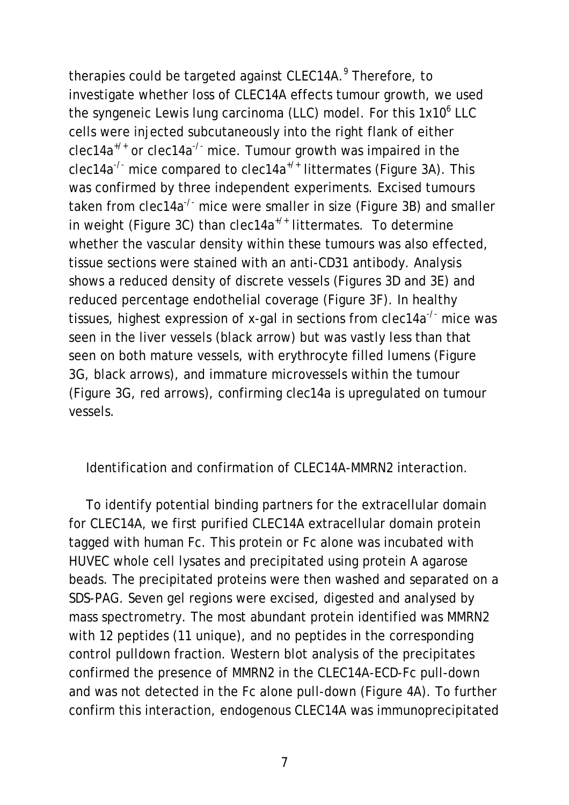therapies could be targeted against CLEC14A. <sup>9</sup> Therefore, to investigate whether loss of CLEC14A effects tumour growth, we used the syngeneic Lewis lung carcinoma (LLC) model. For this 1x10<sup>6</sup> LLC cells were injected subcutaneously into the right flank of either *clec14a+/+* or *clec14a-/-* mice. Tumour growth was impaired in the *clec14a-/-* mice compared to *clec14a+/+* littermates (Figure 3A). This was confirmed by three independent experiments. Excised tumours taken from *clec14a-/-* mice were smaller in size (Figure 3B) and smaller in weight (Figure 3C) than *clec14a+/+* littermates. To determine whether the vascular density within these tumours was also effected, tissue sections were stained with an anti-CD31 antibody. Analysis shows a reduced density of discrete vessels (Figures 3D and 3E) and reduced percentage endothelial coverage (Figure 3F). In healthy tissues, highest expression of x-gal in sections from *clec14a-/-* mice was seen in the liver vessels (black arrow) but was vastly less than that seen on both mature vessels, with erythrocyte filled lumens (Figure 3G, black arrows), and immature microvessels within the tumour (Figure 3G, red arrows), confirming *clec14a* is upregulated on tumour vessels.

Identification and confirmation of CLEC14A-MMRN2 interaction.

To identify potential binding partners for the extracellular domain for CLEC14A, we first purified CLEC14A extracellular domain protein tagged with human Fc. This protein or Fc alone was incubated with HUVEC whole cell lysates and precipitated using protein A agarose beads. The precipitated proteins were then washed and separated on a SDS-PAG. Seven gel regions were excised, digested and analysed by mass spectrometry. The most abundant protein identified was MMRN2 with 12 peptides (11 unique), and no peptides in the corresponding control pulldown fraction. Western blot analysis of the precipitates confirmed the presence of MMRN2 in the CLEC14A-ECD-Fc pull-down and was not detected in the Fc alone pull-down (Figure 4A). To further confirm this interaction, endogenous CLEC14A was immunoprecipitated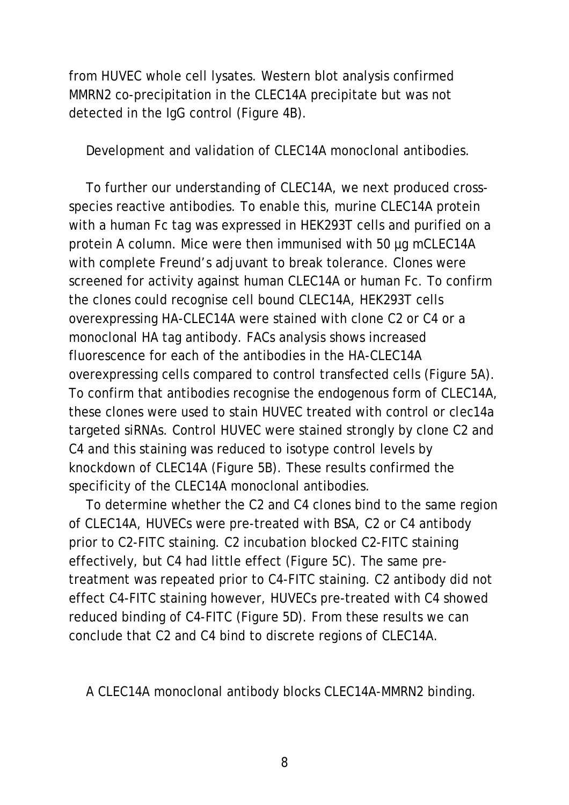from HUVEC whole cell lysates. Western blot analysis confirmed MMRN2 co-precipitation in the CLEC14A precipitate but was not detected in the IgG control (Figure 4B).

Development and validation of CLEC14A monoclonal antibodies.

To further our understanding of CLEC14A, we next produced crossspecies reactive antibodies. To enable this, murine CLEC14A protein with a human Fc tag was expressed in HEK293T cells and purified on a protein A column. Mice were then immunised with 50 µg mCLEC14A with complete Freund's adjuvant to break tolerance. Clones were screened for activity against human CLEC14A or human Fc. To confirm the clones could recognise cell bound CLEC14A, HEK293T cells overexpressing HA-CLEC14A were stained with clone C2 or C4 or a monoclonal HA tag antibody. FACs analysis shows increased fluorescence for each of the antibodies in the HA-CLEC14A overexpressing cells compared to control transfected cells (Figure 5A). To confirm that antibodies recognise the endogenous form of CLEC14A, these clones were used to stain HUVEC treated with control or *clec14a* targeted siRNAs. Control HUVEC were stained strongly by clone C2 and C4 and this staining was reduced to isotype control levels by knockdown of CLEC14A (Figure 5B). These results confirmed the specificity of the CLEC14A monoclonal antibodies.

To determine whether the C2 and C4 clones bind to the same region of CLEC14A, HUVECs were pre-treated with BSA, C2 or C4 antibody prior to C2-FITC staining. C2 incubation blocked C2-FITC staining effectively, but C4 had little effect (Figure 5C). The same pretreatment was repeated prior to C4-FITC staining. C2 antibody did not effect C4-FITC staining however, HUVECs pre-treated with C4 showed reduced binding of C4-FITC (Figure 5D). From these results we can conclude that C2 and C4 bind to discrete regions of CLEC14A.

A CLEC14A monoclonal antibody blocks CLEC14A-MMRN2 binding.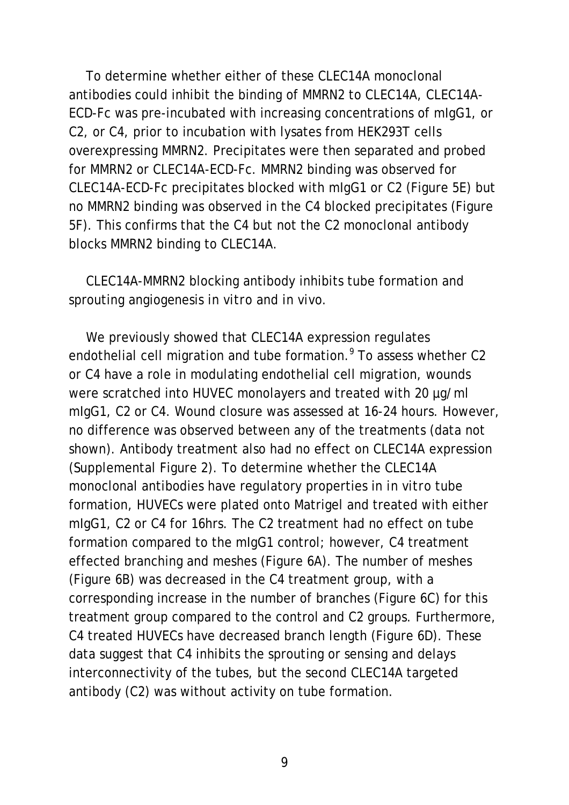To determine whether either of these CLEC14A monoclonal antibodies could inhibit the binding of MMRN2 to CLEC14A, CLEC14A-ECD-Fc was pre-incubated with increasing concentrations of mIgG1, or C2, or C4, prior to incubation with lysates from HEK293T cells overexpressing MMRN2. Precipitates were then separated and probed for MMRN2 or CLEC14A-ECD-Fc. MMRN2 binding was observed for CLEC14A-ECD-Fc precipitates blocked with mIgG1 or C2 (Figure 5E) but no MMRN2 binding was observed in the C4 blocked precipitates (Figure 5F). This confirms that the C4 but not the C2 monoclonal antibody blocks MMRN2 binding to CLEC14A.

CLEC14A-MMRN2 blocking antibody inhibits tube formation and sprouting angiogenesis *in vitro* and *in vivo*.

We previously showed that CLEC14A expression regulates endothelial cell migration and tube formation.<sup>9</sup> To assess whether C2 or C4 have a role in modulating endothelial cell migration, wounds were scratched into HUVEC monolayers and treated with 20 µg/ml mIgG1, C2 or C4. Wound closure was assessed at 16-24 hours. However, no difference was observed between any of the treatments (data not shown). Antibody treatment also had no effect on CLEC14A expression (Supplemental Figure 2). To determine whether the CLEC14A monoclonal antibodies have regulatory properties in *in vitro* tube formation, HUVECs were plated onto Matrigel and treated with either mIgG1, C2 or C4 for 16hrs. The C2 treatment had no effect on tube formation compared to the mIgG1 control; however, C4 treatment effected branching and meshes (Figure 6A). The number of meshes (Figure 6B) was decreased in the C4 treatment group, with a corresponding increase in the number of branches (Figure 6C) for this treatment group compared to the control and C2 groups. Furthermore, C4 treated HUVECs have decreased branch length (Figure 6D). These data suggest that C4 inhibits the sprouting or sensing and delays interconnectivity of the tubes, but the second CLEC14A targeted antibody (C2) was without activity on tube formation.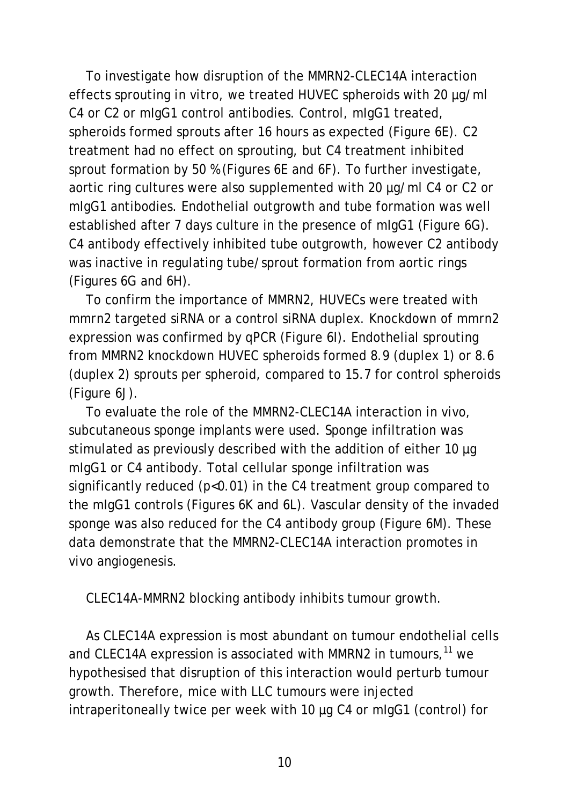To investigate how disruption of the MMRN2-CLEC14A interaction effects sprouting *in vitro*, we treated HUVEC spheroids with 20 µg/ml C4 or C2 or mIgG1 control antibodies. Control, mIgG1 treated, spheroids formed sprouts after 16 hours as expected (Figure 6E). C2 treatment had no effect on sprouting, but C4 treatment inhibited sprout formation by 50 % (Figures 6E and 6F). To further investigate, aortic ring cultures were also supplemented with 20 µg/ml C4 or C2 or mIgG1 antibodies. Endothelial outgrowth and tube formation was well established after 7 days culture in the presence of mIgG1 (Figure 6G). C4 antibody effectively inhibited tube outgrowth, however C2 antibody was inactive in regulating tube/sprout formation from aortic rings (Figures 6G and 6H).

To confirm the importance of MMRN2, HUVECs were treated with *mmrn2* targeted siRNA or a control siRNA duplex. Knockdown of *mmrn2*  expression was confirmed by qPCR (Figure 6I). Endothelial sprouting from MMRN2 knockdown HUVEC spheroids formed 8.9 (duplex 1) or 8.6 (duplex 2) sprouts per spheroid, compared to 15.7 for control spheroids (Figure 6J).

To evaluate the role of the MMRN2-CLEC14A interaction *in vivo*, subcutaneous sponge implants were used. Sponge infiltration was stimulated as previously described with the addition of either 10 µg mIgG1 or C4 antibody. Total cellular sponge infiltration was significantly reduced (p<0.01) in the C4 treatment group compared to the mIgG1 controls (Figures 6K and 6L). Vascular density of the invaded sponge was also reduced for the C4 antibody group (Figure 6M). These data demonstrate that the MMRN2-CLEC14A interaction promotes *in vivo* angiogenesis.

CLEC14A-MMRN2 blocking antibody inhibits tumour growth.

As CLEC14A expression is most abundant on tumour endothelial cells and CLEC14A expression is associated with MMRN2 in tumours,<sup>11</sup> we hypothesised that disruption of this interaction would perturb tumour growth. Therefore, mice with LLC tumours were injected intraperitoneally twice per week with 10 µg C4 or mIgG1 (control) for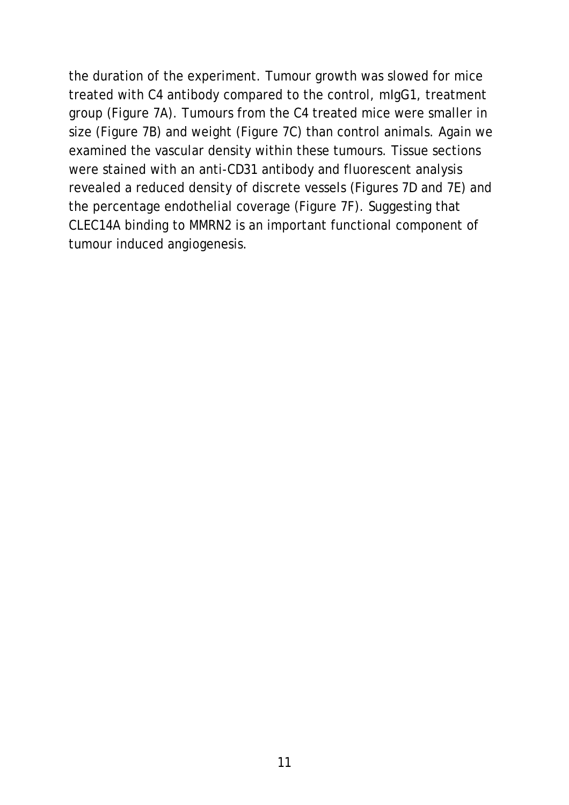the duration of the experiment. Tumour growth was slowed for mice treated with C4 antibody compared to the control, mIgG1, treatment group (Figure 7A). Tumours from the C4 treated mice were smaller in size (Figure 7B) and weight (Figure 7C) than control animals. Again we examined the vascular density within these tumours. Tissue sections were stained with an anti-CD31 antibody and fluorescent analysis revealed a reduced density of discrete vessels (Figures 7D and 7E) and the percentage endothelial coverage (Figure 7F). Suggesting that CLEC14A binding to MMRN2 is an important functional component of tumour induced angiogenesis.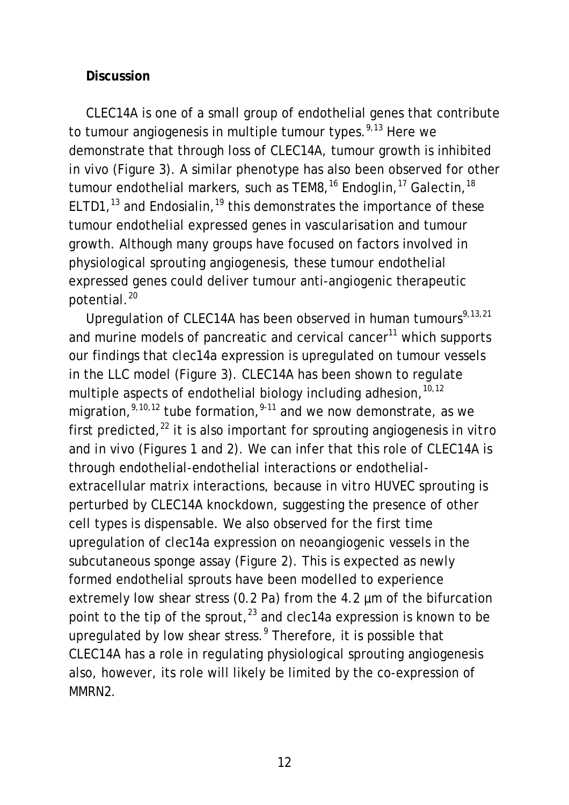#### **Discussion**

CLEC14A is one of a small group of endothelial genes that contribute to tumour angiogenesis in multiple tumour types.<sup>9,13</sup> Here we demonstrate that through loss of CLEC14A, tumour growth is inhibited *in vivo* (Figure 3). A similar phenotype has also been observed for other tumour endothelial markers, such as TEM8,<sup>16</sup> Endoglin,<sup>17</sup> Galectin,<sup>18</sup> ELTD1,<sup>13</sup> and Endosialin,<sup>19</sup> this demonstrates the importance of these tumour endothelial expressed genes in vascularisation and tumour growth. Although many groups have focused on factors involved in physiological sprouting angiogenesis, these tumour endothelial expressed genes could deliver tumour anti-angiogenic therapeutic potential. 20

Upregulation of CLEC14A has been observed in human tumours<sup>9,13,21</sup> and murine models of pancreatic and cervical cancer $11$  which supports our findings that *clec14a* expression is upregulated on tumour vessels in the LLC model (Figure 3). CLEC14A has been shown to regulate multiple aspects of endothelial biology including adhesion, 10,12 migration,<sup>9,10,12</sup> tube formation,<sup>9-11</sup> and we now demonstrate, as we first predicted, <sup>22</sup> it is also important for sprouting angiogenesis *in vitro*  and *in vivo* (Figures 1 and 2). We can infer that this role of CLEC14A is through endothelial-endothelial interactions or endothelialextracellular matrix interactions, because *in vitro* HUVEC sprouting is perturbed by CLEC14A knockdown, suggesting the presence of other cell types is dispensable. We also observed for the first time upregulation of *clec14a* expression on neoangiogenic vessels in the subcutaneous sponge assay (Figure 2). This is expected as newly formed endothelial sprouts have been modelled to experience extremely low shear stress (0.2 Pa) from the 4.2 µm of the bifurcation point to the tip of the sprout, <sup>23</sup> and *clec14a* expression is known to be upregulated by low shear stress. <sup>9</sup> Therefore, it is possible that CLEC14A has a role in regulating physiological sprouting angiogenesis also, however, its role will likely be limited by the co-expression of MMRN2.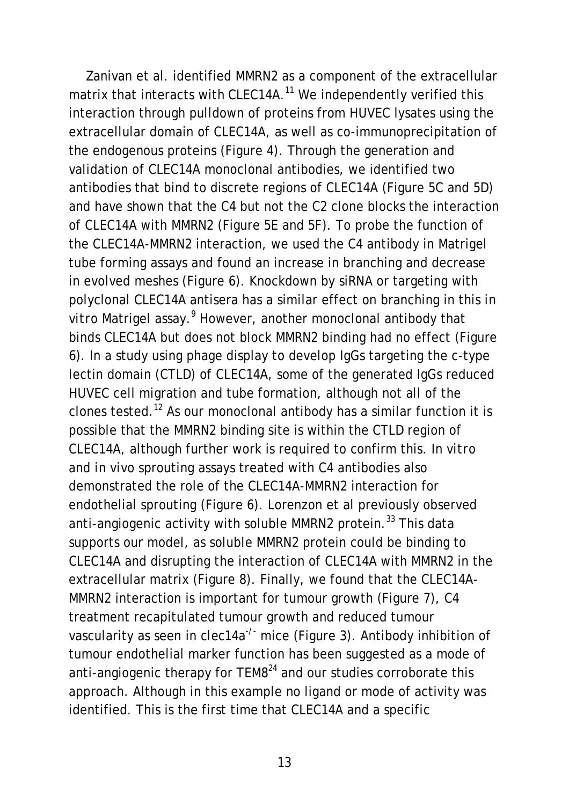Zanivan et al. identified MMRN2 as a component of the extracellular matrix that interacts with CLEC14A.<sup>11</sup> We independently verified this interaction through pulldown of proteins from HUVEC lysates using the extracellular domain of CLEC14A, as well as co-immunoprecipitation of the endogenous proteins (Figure 4). Through the generation and validation of CLEC14A monoclonal antibodies, we identified two antibodies that bind to discrete regions of CLEC14A (Figure 5C and 5D) and have shown that the C4 but not the C2 clone blocks the interaction of CLEC14A with MMRN2 (Figure 5E and 5F). To probe the function of the CLEC14A-MMRN2 interaction, we used the C4 antibody in Matrigel tube forming assays and found an increase in branching and decrease in evolved meshes (Figure 6). Knockdown by siRNA or targeting with polyclonal CLEC14A antisera has a similar effect on branching in this *in*  vitro Matrigel assay.<sup>9</sup> However, another monoclonal antibody that binds CLEC14A but does not block MMRN2 binding had no effect (Figure 6). In a study using phage display to develop IgGs targeting the c-type lectin domain (CTLD) of CLEC14A, some of the generated IgGs reduced HUVEC cell migration and tube formation, although not all of the clones tested. <sup>12</sup> As our monoclonal antibody has a similar function it is possible that the MMRN2 binding site is within the CTLD region of CLEC14A, although further work is required to confirm this. *In vitro*  and *in vivo* sprouting assays treated with C4 antibodies also demonstrated the role of the CLEC14A-MMRN2 interaction for endothelial sprouting (Figure 6). Lorenzon et al previously observed anti-angiogenic activity with soluble MMRN2 protein.<sup>33</sup> This data supports our model, as soluble MMRN2 protein could be binding to CLEC14A and disrupting the interaction of CLEC14A with MMRN2 in the extracellular matrix (Figure 8). Finally, we found that the CLEC14A-MMRN2 interaction is important for tumour growth (Figure 7), C4 treatment recapitulated tumour growth and reduced tumour vascularity as seen in *clec14a-/-* mice (Figure 3). Antibody inhibition of tumour endothelial marker function has been suggested as a mode of anti-angiogenic therapy for  $TEM8<sup>24</sup>$  and our studies corroborate this approach. Although in this example no ligand or mode of activity was identified. This is the first time that CLEC14A and a specific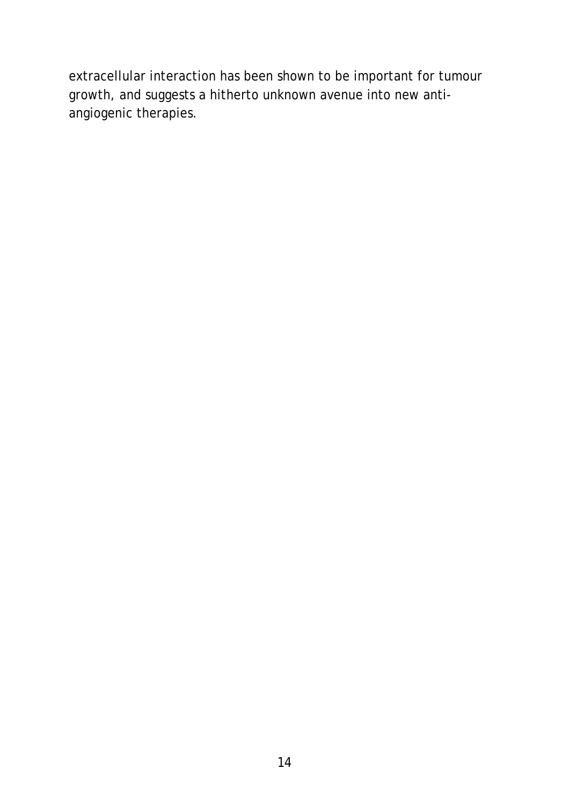extracellular interaction has been shown to be important for tumour growth, and suggests a hitherto unknown avenue into new antiangiogenic therapies.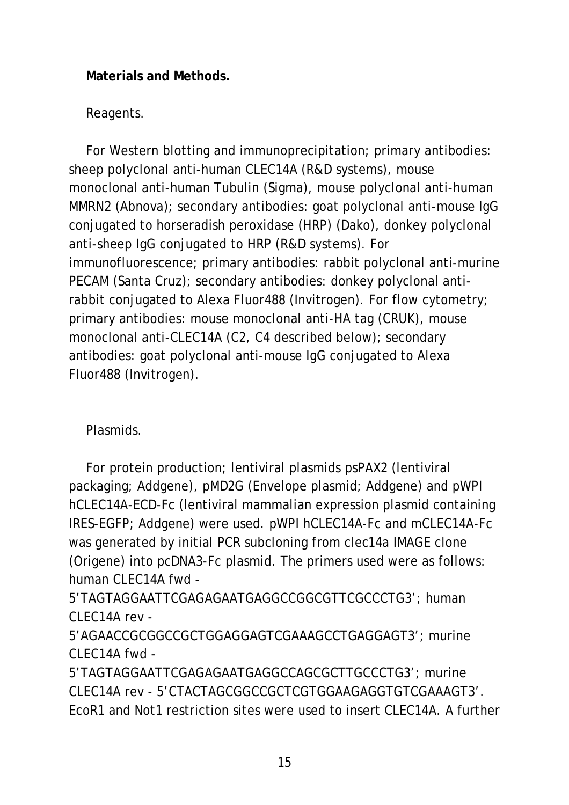## **Materials and Methods.**

## Reagents.

For Western blotting and immunoprecipitation; primary antibodies: sheep polyclonal anti-human CLEC14A (R&D systems), mouse monoclonal anti-human Tubulin (Sigma), mouse polyclonal anti-human MMRN2 (Abnova); secondary antibodies: goat polyclonal anti-mouse IgG conjugated to horseradish peroxidase (HRP) (Dako), donkey polyclonal anti-sheep IgG conjugated to HRP (R&D systems). For immunofluorescence; primary antibodies: rabbit polyclonal anti-murine PECAM (Santa Cruz); secondary antibodies: donkey polyclonal antirabbit conjugated to Alexa Fluor488 (Invitrogen). For flow cytometry; primary antibodies: mouse monoclonal anti-HA tag (CRUK), mouse monoclonal anti-CLEC14A (C2, C4 described below); secondary antibodies: goat polyclonal anti-mouse IgG conjugated to Alexa Fluor488 (Invitrogen).

Plasmids.

For protein production; lentiviral plasmids psPAX2 (lentiviral packaging; Addgene), pMD2G (Envelope plasmid; Addgene) and pWPI hCLEC14A-ECD-Fc (lentiviral mammalian expression plasmid containing IRES-EGFP; Addgene) were used. pWPI hCLEC14A-Fc and mCLEC14A-Fc was generated by initial PCR subcloning from *clec14a* IMAGE clone (Origene) into pcDNA3-Fc plasmid. The primers used were as follows: human CLEC14A fwd -

5'TAGTAGGAATTCGAGAGAATGAGGCCGGCGTTCGCCCTG3'; human CLEC14A rev -

5'AGAACCGCGGCCGCTGGAGGAGTCGAAAGCCTGAGGAGT3'; murine CLEC14A fwd -

5'TAGTAGGAATTCGAGAGAATGAGGCCAGCGCTTGCCCTG3'; murine CLEC14A rev - 5'CTACTAGCGGCCGCTCGTGGAAGAGGTGTCGAAAGT3'. EcoR1 and Not1 restriction sites were used to insert CLEC14A. A further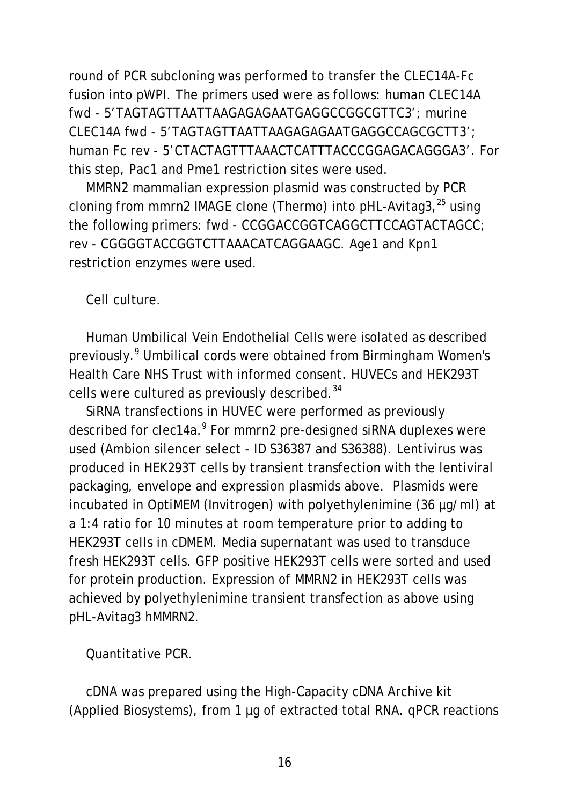round of PCR subcloning was performed to transfer the CLEC14A-Fc fusion into pWPI. The primers used were as follows: human CLEC14A fwd - 5'TAGTAGTTAATTAAGAGAGAATGAGGCCGGCGTTC3'; murine CLEC14A fwd - 5'TAGTAGTTAATTAAGAGAGAATGAGGCCAGCGCTT3'; human Fc rev - 5'CTACTAGTTTAAACTCATTTACCCGGAGACAGGGA3'. For this step, Pac1 and Pme1 restriction sites were used.

MMRN2 mammalian expression plasmid was constructed by PCR cloning from *mmrn2* IMAGE clone (Thermo) into pHL-Avitag3, <sup>25</sup> using the following primers: fwd - CCGGACCGGTCAGGCTTCCAGTACTAGCC; rev - CGGGGTACCGGTCTTAAACATCAGGAAGC. Age1 and Kpn1 restriction enzymes were used.

## Cell culture.

Human Umbilical Vein Endothelial Cells were isolated as described previously. <sup>9</sup> Umbilical cords were obtained from Birmingham Women's Health Care NHS Trust with informed consent. HUVECs and HEK293T cells were cultured as previously described.<sup>34</sup>

SiRNA transfections in HUVEC were performed as previously described for *clec14a*. <sup>9</sup> For *mmrn2* pre-designed siRNA duplexes were used (Ambion silencer select - ID S36387 and S36388). Lentivirus was produced in HEK293T cells by transient transfection with the lentiviral packaging, envelope and expression plasmids above. Plasmids were incubated in OptiMEM (Invitrogen) with polyethylenimine (36 µg/ml) at a 1:4 ratio for 10 minutes at room temperature prior to adding to HEK293T cells in cDMEM. Media supernatant was used to transduce fresh HEK293T cells. GFP positive HEK293T cells were sorted and used for protein production. Expression of MMRN2 in HEK293T cells was achieved by polyethylenimine transient transfection as above using pHL-Avitag3 hMMRN2.

Quantitative PCR.

cDNA was prepared using the High-Capacity cDNA Archive kit (Applied Biosystems), from 1 µg of extracted total RNA. qPCR reactions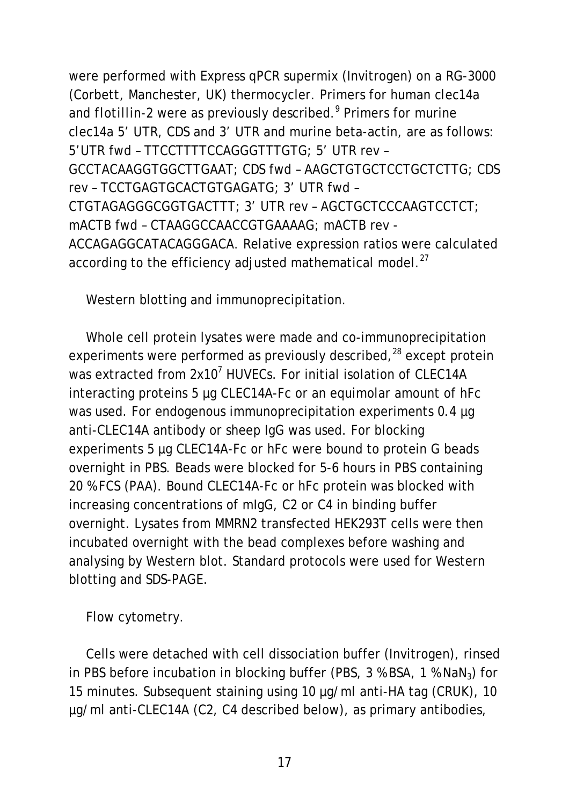were performed with Express qPCR supermix (Invitrogen) on a RG-3000 (Corbett, Manchester, UK) thermocycler. Primers for human *clec14a* and *flotillin-2* were as previously described. <sup>9</sup> Primers for murine *clec14a* 5' UTR, CDS and 3' UTR and murine beta-actin, are as follows: 5'UTR fwd – TTCCTTTTCCAGGGTTTGTG; 5' UTR rev – GCCTACAAGGTGGCTTGAAT; CDS fwd – AAGCTGTGCTCCTGCTCTTG; CDS rev – TCCTGAGTGCACTGTGAGATG; 3' UTR fwd – CTGTAGAGGGCGGTGACTTT; 3' UTR rev – AGCTGCTCCCAAGTCCTCT; mACTB fwd – CTAAGGCCAACCGTGAAAAG; mACTB rev - ACCAGAGGCATACAGGGACA. Relative expression ratios were calculated according to the efficiency adjusted mathematical model.<sup>27</sup>

Western blotting and immunoprecipitation.

Whole cell protein lysates were made and co-immunoprecipitation experiments were performed as previously described,<sup>28</sup> except protein was extracted from 2x10<sup>7</sup> HUVECs. For initial isolation of CLEC14A interacting proteins 5 µg CLEC14A-Fc or an equimolar amount of hFc was used. For endogenous immunoprecipitation experiments 0.4 µg anti-CLEC14A antibody or sheep IgG was used. For blocking experiments 5 µg CLEC14A-Fc or hFc were bound to protein G beads overnight in PBS. Beads were blocked for 5-6 hours in PBS containing 20 % FCS (PAA). Bound CLEC14A-Fc or hFc protein was blocked with increasing concentrations of mIgG, C2 or C4 in binding buffer overnight. Lysates from MMRN2 transfected HEK293T cells were then incubated overnight with the bead complexes before washing and analysing by Western blot. Standard protocols were used for Western blotting and SDS-PAGE.

Flow cytometry.

Cells were detached with cell dissociation buffer (Invitrogen), rinsed in PBS before incubation in blocking buffer (PBS,  $3\%$  BSA,  $1\%$  NaN<sub>3</sub>) for 15 minutes. Subsequent staining using 10 µg/ml anti-HA tag (CRUK), 10 µg/ml anti-CLEC14A (C2, C4 described below), as primary antibodies,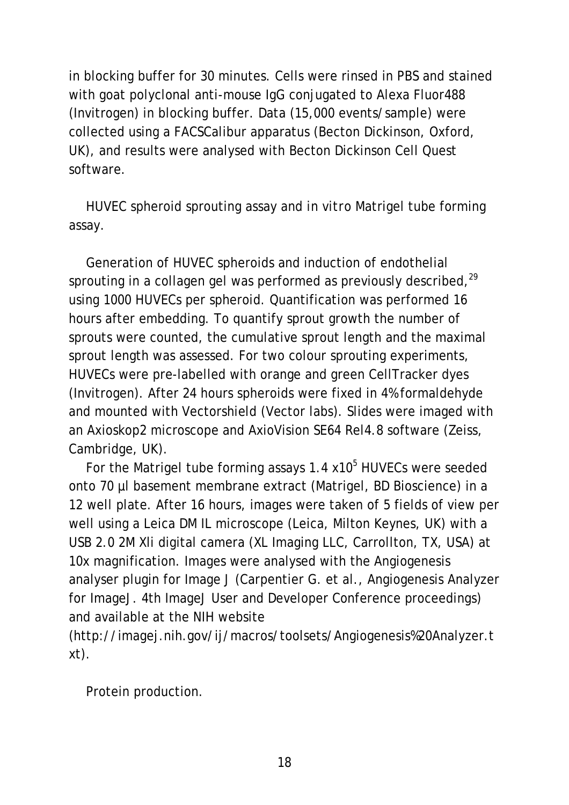in blocking buffer for 30 minutes. Cells were rinsed in PBS and stained with goat polyclonal anti-mouse IgG conjugated to Alexa Fluor488 (Invitrogen) in blocking buffer. Data (15,000 events/sample) were collected using a FACSCalibur apparatus (Becton Dickinson, Oxford, UK), and results were analysed with Becton Dickinson Cell Quest software.

HUVEC spheroid sprouting assay and *in vitro* Matrigel tube forming assay.

Generation of HUVEC spheroids and induction of endothelial sprouting in a collagen gel was performed as previously described,<sup>29</sup> using 1000 HUVECs per spheroid. Quantification was performed 16 hours after embedding. To quantify sprout growth the number of sprouts were counted, the cumulative sprout length and the maximal sprout length was assessed. For two colour sprouting experiments, HUVECs were pre-labelled with orange and green CellTracker dyes (Invitrogen). After 24 hours spheroids were fixed in 4% formaldehyde and mounted with Vectorshield (Vector labs). Slides were imaged with an Axioskop2 microscope and AxioVision SE64 Rel4.8 software (Zeiss, Cambridge, UK).

For the Matrigel tube forming assays  $1.4 \times 10^5$  HUVECs were seeded onto 70 µl basement membrane extract (Matrigel, BD Bioscience) in a 12 well plate. After 16 hours, images were taken of 5 fields of view per well using a Leica DM IL microscope (Leica, Milton Keynes, UK) with a USB 2.0 2M Xli digital camera (XL Imaging LLC, Carrollton, TX, USA) at 10x magnification. Images were analysed with the Angiogenesis analyser plugin for Image J (Carpentier G. et al., Angiogenesis Analyzer for ImageJ. 4th ImageJ User and Developer Conference proceedings) and available at the NIH website

(http://imagej.nih.gov/ij/macros/toolsets/Angiogenesis%20Analyzer.t xt).

Protein production.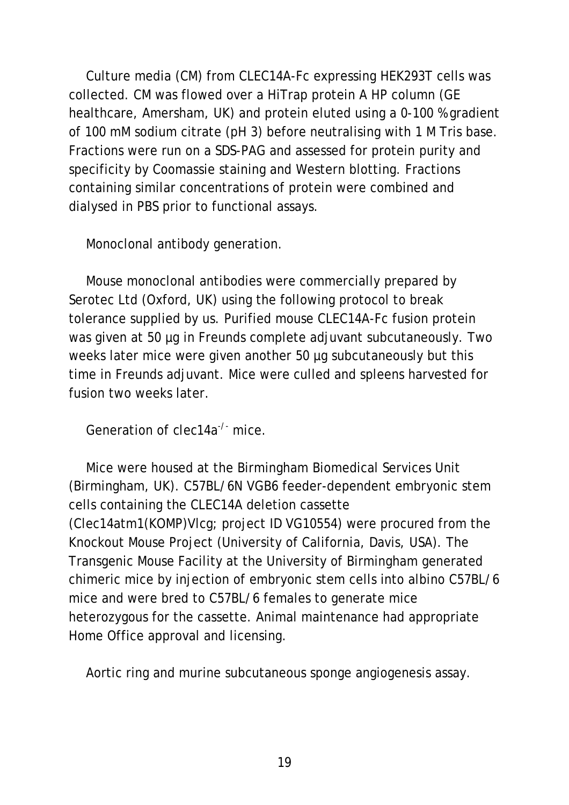Culture media (CM) from CLEC14A-Fc expressing HEK293T cells was collected. CM was flowed over a HiTrap protein A HP column (GE healthcare, Amersham, UK) and protein eluted using a 0-100 % gradient of 100 mM sodium citrate (pH 3) before neutralising with 1 M Tris base. Fractions were run on a SDS-PAG and assessed for protein purity and specificity by Coomassie staining and Western blotting. Fractions containing similar concentrations of protein were combined and dialysed in PBS prior to functional assays.

Monoclonal antibody generation.

Mouse monoclonal antibodies were commercially prepared by Serotec Ltd (Oxford, UK) using the following protocol to break tolerance supplied by us. Purified mouse CLEC14A-Fc fusion protein was given at 50 µg in Freunds complete adjuvant subcutaneously. Two weeks later mice were given another 50 µg subcutaneously but this time in Freunds adjuvant. Mice were culled and spleens harvested for fusion two weeks later.

Generation of *clec14a-/-* mice.

Mice were housed at the Birmingham Biomedical Services Unit (Birmingham, UK). C57BL/6N VGB6 feeder-dependent embryonic stem cells containing the CLEC14A deletion cassette (Clec14atm1(KOMP)Vlcg; project ID VG10554) were procured from the Knockout Mouse Project (University of California, Davis, USA). The Transgenic Mouse Facility at the University of Birmingham generated chimeric mice by injection of embryonic stem cells into albino C57BL/6 mice and were bred to C57BL/6 females to generate mice heterozygous for the cassette. Animal maintenance had appropriate Home Office approval and licensing.

Aortic ring and murine subcutaneous sponge angiogenesis assay.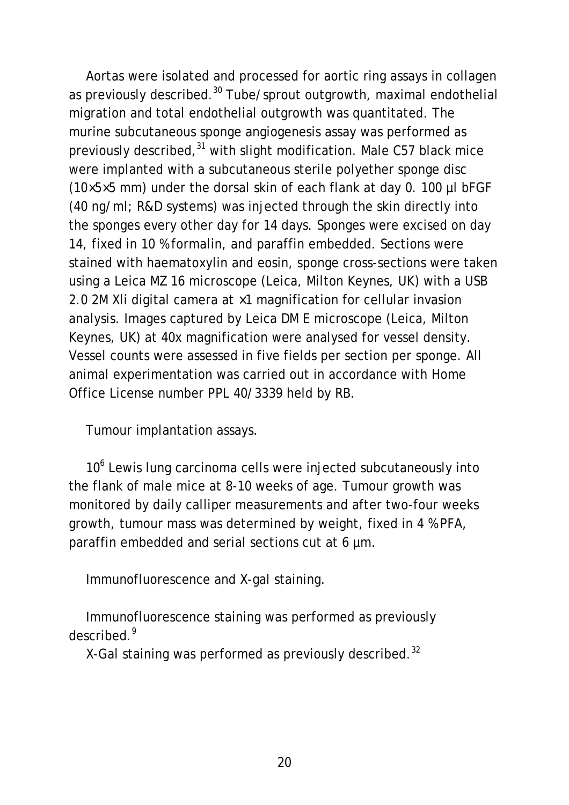Aortas were isolated and processed for aortic ring assays in collagen as previously described.<sup>30</sup> Tube/sprout outgrowth, maximal endothelial migration and total endothelial outgrowth was quantitated. The murine subcutaneous sponge angiogenesis assay was performed as previously described,<sup>31</sup> with slight modification. Male C57 black mice were implanted with a subcutaneous sterile polyether sponge disc (10×5×5 mm) under the dorsal skin of each flank at day 0. 100 µl bFGF (40 ng/ml; R&D systems) was injected through the skin directly into the sponges every other day for 14 days. Sponges were excised on day 14, fixed in 10 % formalin, and paraffin embedded. Sections were stained with haematoxylin and eosin, sponge cross-sections were taken using a Leica MZ 16 microscope (Leica, Milton Keynes, UK) with a USB 2.0 2M Xli digital camera at ×1 magnification for cellular invasion analysis. Images captured by Leica DM E microscope (Leica, Milton Keynes, UK) at 40x magnification were analysed for vessel density. Vessel counts were assessed in five fields per section per sponge. All animal experimentation was carried out in accordance with Home Office License number PPL 40/3339 held by RB.

Tumour implantation assays.

10<sup>6</sup> Lewis lung carcinoma cells were injected subcutaneously into the flank of male mice at 8-10 weeks of age. Tumour growth was monitored by daily calliper measurements and after two-four weeks growth, tumour mass was determined by weight, fixed in 4 % PFA, paraffin embedded and serial sections cut at 6 µm.

Immunofluorescence and X-gal staining.

Immunofluorescence staining was performed as previously described. 9

X-Gal staining was performed as previously described.<sup>32</sup>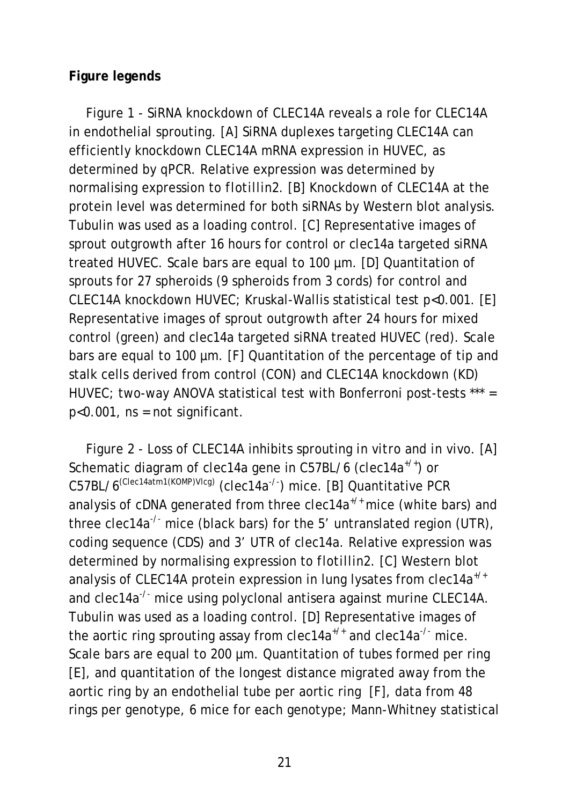## **Figure legends**

Figure 1 - SiRNA knockdown of CLEC14A reveals a role for CLEC14A in endothelial sprouting. [A] SiRNA duplexes targeting CLEC14A can efficiently knockdown CLEC14A mRNA expression in HUVEC, as determined by qPCR. Relative expression was determined by normalising expression to *flotillin2*. [B] Knockdown of CLEC14A at the protein level was determined for both siRNAs by Western blot analysis. Tubulin was used as a loading control. [C] Representative images of sprout outgrowth after 16 hours for control or *clec14a* targeted siRNA treated HUVEC. Scale bars are equal to 100 µm. [D] Quantitation of sprouts for 27 spheroids (9 spheroids from 3 cords) for control and CLEC14A knockdown HUVEC; Kruskal-Wallis statistical test p<0.001. [E] Representative images of sprout outgrowth after 24 hours for mixed control (green) and *clec14a* targeted siRNA treated HUVEC (red). Scale bars are equal to 100 µm. [F] Quantitation of the percentage of tip and stalk cells derived from control (CON) and CLEC14A knockdown (KD) HUVEC; two-way ANOVA statistical test with Bonferroni post-tests \*\*\* =  $p<0.001$ ,  $ns = not significant$ .

Figure 2 - Loss of CLEC14A inhibits sprouting *in vitro* and *in vivo*. [A] Schematic diagram of *clec14a* gene in C57BL/6 (*clec14a+/+*) or C57BL/6(Clec14atm1(KOMP)Vlcg) (*clec14a-/-* ) mice. [B] Quantitative PCR analysis of cDNA generated from three *clec14a+/+* mice (white bars) and three *clec14a-/-* mice (black bars) for the 5' untranslated region (UTR), coding sequence (CDS) and 3' UTR of *clec14a*. Relative expression was determined by normalising expression to *flotillin2*. [C] Western blot analysis of CLEC14A protein expression in lung lysates from *clec14a+/+* and *clec14a<sup>-/-</sup>* mice using polyclonal antisera against murine CLEC14A. Tubulin was used as a loading control. [D] Representative images of the aortic ring sprouting assay from *clec14a+/+* and *clec14a-/-* mice. Scale bars are equal to 200 µm. Quantitation of tubes formed per ring [E], and quantitation of the longest distance migrated away from the aortic ring by an endothelial tube per aortic ring [F], data from 48 rings per genotype, 6 mice for each genotype; Mann-Whitney statistical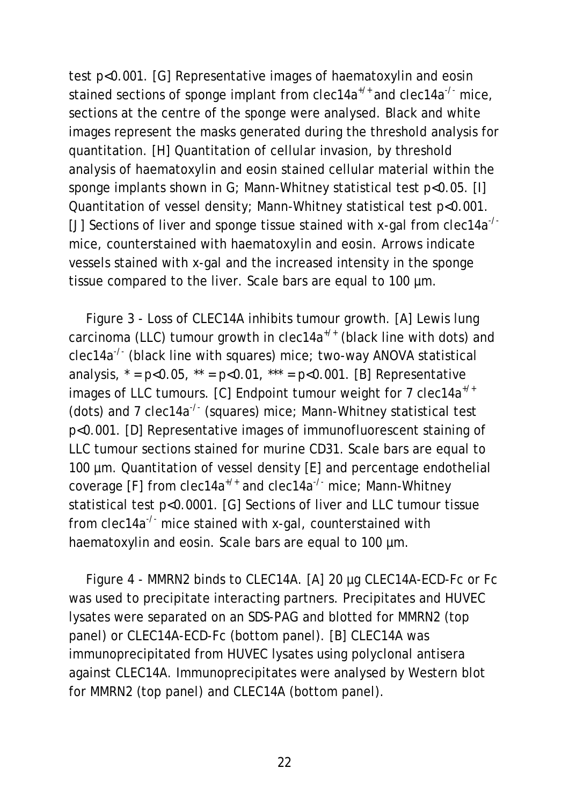test p<0.001. [G] Representative images of haematoxylin and eosin stained sections of sponge implant from *clec14a+/+* and *clec14a-/-* mice, sections at the centre of the sponge were analysed. Black and white images represent the masks generated during the threshold analysis for quantitation. [H] Quantitation of cellular invasion, by threshold analysis of haematoxylin and eosin stained cellular material within the sponge implants shown in G; Mann-Whitney statistical test p<0.05. [I] Quantitation of vessel density; Mann-Whitney statistical test p<0.001. [J] Sections of liver and sponge tissue stained with x-gal from *clec14a-/* mice, counterstained with haematoxylin and eosin. Arrows indicate vessels stained with x-gal and the increased intensity in the sponge tissue compared to the liver. Scale bars are equal to 100 µm.

Figure 3 - Loss of CLEC14A inhibits tumour growth. [A] Lewis lung carcinoma (LLC) tumour growth in *clec14a+/+* (black line with dots) and *clec14a-/-* (black line with squares) mice; two-way ANOVA statistical analysis,  $* = p < 0.05$ ,  $** = p < 0.01$ ,  $** = p < 0.001$ . [B] Representative images of LLC tumours. [C] Endpoint tumour weight for 7 *clec14a+/+* (dots) and 7 *clec14a-/-* (squares) mice; Mann-Whitney statistical test p<0.001. [D] Representative images of immunofluorescent staining of LLC tumour sections stained for murine CD31. Scale bars are equal to 100 µm. Quantitation of vessel density [E] and percentage endothelial coverage [F] from *clec14a+/+* and *clec14a-/-* mice; Mann-Whitney statistical test p<0.0001. [G] Sections of liver and LLC tumour tissue from *clec14a-/-* mice stained with x-gal, counterstained with haematoxylin and eosin. Scale bars are equal to 100  $\mu$ m.

Figure 4 - MMRN2 binds to CLEC14A. [A] 20 µg CLEC14A-ECD-Fc or Fc was used to precipitate interacting partners. Precipitates and HUVEC lysates were separated on an SDS-PAG and blotted for MMRN2 (top panel) or CLEC14A-ECD-Fc (bottom panel). [B] CLEC14A was immunoprecipitated from HUVEC lysates using polyclonal antisera against CLEC14A. Immunoprecipitates were analysed by Western blot for MMRN2 (top panel) and CLEC14A (bottom panel).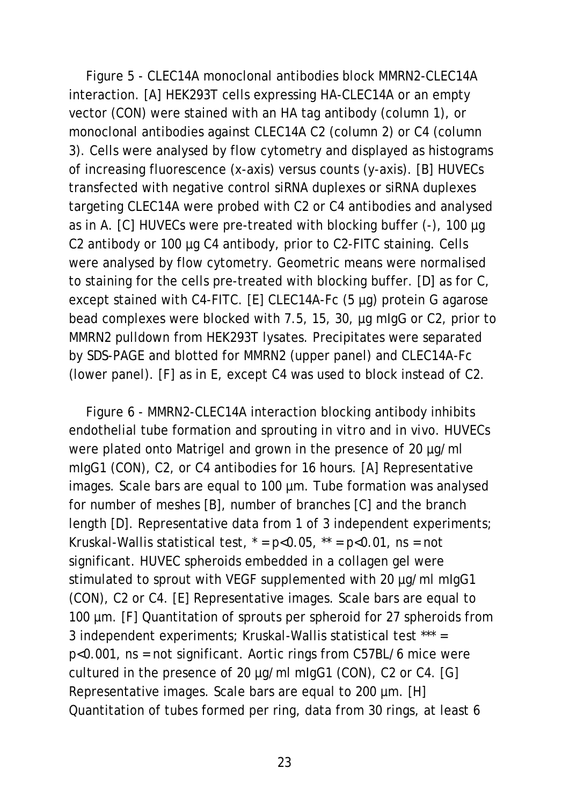Figure 5 - CLEC14A monoclonal antibodies block MMRN2-CLEC14A interaction. [A] HEK293T cells expressing HA-CLEC14A or an empty vector (CON) were stained with an HA tag antibody (column 1), or monoclonal antibodies against CLEC14A C2 (column 2) or C4 (column 3). Cells were analysed by flow cytometry and displayed as histograms of increasing fluorescence (x-axis) versus counts (y-axis). [B] HUVECs transfected with negative control siRNA duplexes or siRNA duplexes targeting CLEC14A were probed with C2 or C4 antibodies and analysed as in A. [C] HUVECs were pre-treated with blocking buffer (-), 100 µg C2 antibody or 100 µg C4 antibody, prior to C2-FITC staining. Cells were analysed by flow cytometry. Geometric means were normalised to staining for the cells pre-treated with blocking buffer. [D] as for C, except stained with C4-FITC. [E] CLEC14A-Fc (5 µg) protein G agarose bead complexes were blocked with 7.5, 15, 30, µg mIgG or C2, prior to MMRN2 pulldown from HEK293T lysates. Precipitates were separated by SDS-PAGE and blotted for MMRN2 (upper panel) and CLEC14A-Fc (lower panel). [F] as in E, except C4 was used to block instead of C2.

Figure 6 - MMRN2-CLEC14A interaction blocking antibody inhibits endothelial tube formation and sprouting *in vitro* and *in vivo*. HUVECs were plated onto Matrigel and grown in the presence of 20 µg/ml mIgG1 (CON), C2, or C4 antibodies for 16 hours. [A] Representative images. Scale bars are equal to 100 µm. Tube formation was analysed for number of meshes [B], number of branches [C] and the branch length [D]. Representative data from 1 of 3 independent experiments; Kruskal-Wallis statistical test,  $* = p < 0.05$ ,  $** = p < 0.01$ , ns = not significant. HUVEC spheroids embedded in a collagen gel were stimulated to sprout with VEGF supplemented with 20 µg/ml mlgG1 (CON), C2 or C4. [E] Representative images. Scale bars are equal to 100 µm. [F] Quantitation of sprouts per spheroid for 27 spheroids from 3 independent experiments; Kruskal-Wallis statistical test \*\*\* = p<0.001, ns = not significant. Aortic rings from C57BL/6 mice were cultured in the presence of 20 µg/ml mIgG1 (CON), C2 or C4. [G] Representative images. Scale bars are equal to 200 µm. [H] Quantitation of tubes formed per ring, data from 30 rings, at least 6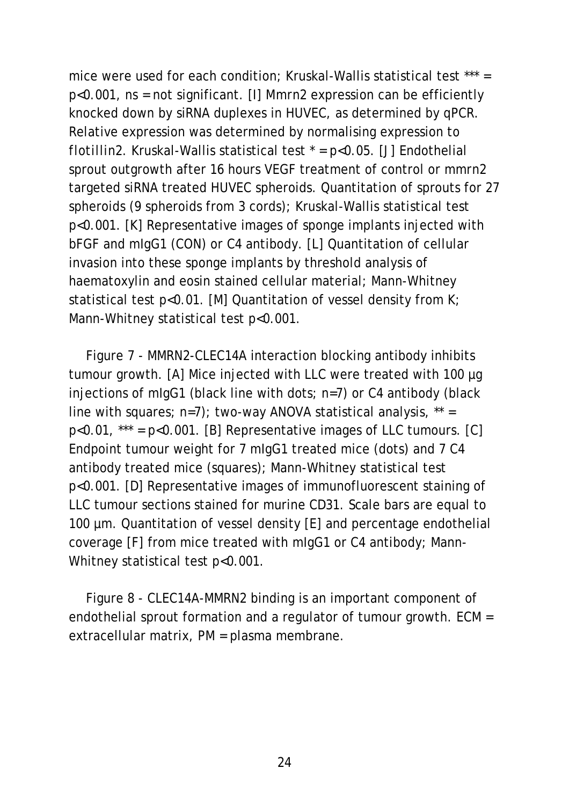mice were used for each condition; Kruskal-Wallis statistical test \*\*\* = p<0.001, ns = not significant. [I] *Mmrn2* expression can be efficiently knocked down by siRNA duplexes in HUVEC, as determined by qPCR. Relative expression was determined by normalising expression to *flotillin2*. Kruskal-Wallis statistical test \* = p<0.05. [J] Endothelial sprout outgrowth after 16 hours VEGF treatment of control or *mmrn2*  targeted siRNA treated HUVEC spheroids. Quantitation of sprouts for 27 spheroids (9 spheroids from 3 cords); Kruskal-Wallis statistical test p<0.001. [K] Representative images of sponge implants injected with bFGF and mIgG1 (CON) or C4 antibody. [L] Quantitation of cellular invasion into these sponge implants by threshold analysis of haematoxylin and eosin stained cellular material; Mann-Whitney statistical test p<0.01. [M] Quantitation of vessel density from K; Mann-Whitney statistical test p<0.001.

Figure 7 - MMRN2-CLEC14A interaction blocking antibody inhibits tumour growth. [A] Mice injected with LLC were treated with 100 µg injections of mIgG1 (black line with dots; n=7) or C4 antibody (black line with squares;  $n=7$ ); two-way ANOVA statistical analysis,  $**$  $p<0.01$ , \*\*\* =  $p<0.001$ . [B] Representative images of LLC tumours. [C] Endpoint tumour weight for 7 mIgG1 treated mice (dots) and 7 C4 antibody treated mice (squares); Mann-Whitney statistical test p<0.001. [D] Representative images of immunofluorescent staining of LLC tumour sections stained for murine CD31. Scale bars are equal to 100 µm. Quantitation of vessel density [E] and percentage endothelial coverage [F] from mice treated with mIgG1 or C4 antibody; Mann-Whitney statistical test p<0.001.

Figure 8 - CLEC14A-MMRN2 binding is an important component of endothelial sprout formation and a regulator of tumour growth. ECM = extracellular matrix, PM = plasma membrane.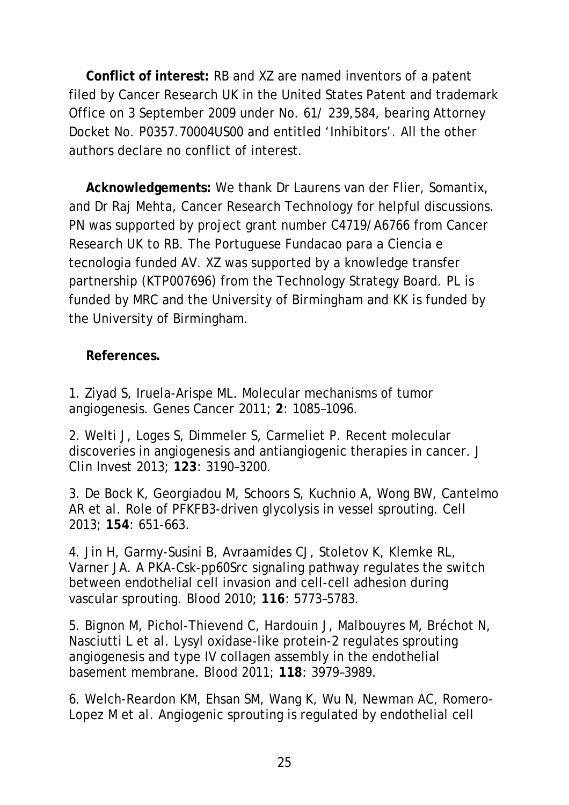**Conflict of interest:** RB and XZ are named inventors of a patent filed by Cancer Research UK in the United States Patent and trademark Office on 3 September 2009 under No. 61/ 239,584, bearing Attorney Docket No. P0357.70004US00 and entitled 'Inhibitors'. All the other authors declare no conflict of interest.

**Acknowledgements:** We thank Dr Laurens van der Flier, Somantix, and Dr Raj Mehta, Cancer Research Technology for helpful discussions. PN was supported by project grant number C4719/A6766 from Cancer Research UK to RB. The Portuguese Fundacao para a Ciencia e tecnologia funded AV. XZ was supported by a knowledge transfer partnership (KTP007696) from the Technology Strategy Board. PL is funded by MRC and the University of Birmingham and KK is funded by the University of Birmingham.

## **References.**

1. Ziyad S, Iruela-Arispe ML. Molecular mechanisms of tumor angiogenesis. *Genes Cancer* 2011; **2**: 1085–1096.

2. Welti J, Loges S, Dimmeler S, Carmeliet P. Recent molecular discoveries in angiogenesis and antiangiogenic therapies in cancer. *J Clin Invest* 2013; **123**: 3190–3200.

3. De Bock K, Georgiadou M, Schoors S, Kuchnio A, Wong BW, Cantelmo AR *et al*. Role of PFKFB3-driven glycolysis in vessel sprouting. *Cell* 2013; **154**: 651-663.

4. Jin H, Garmy-Susini B, Avraamides CJ, Stoletov K, Klemke RL, Varner JA. A PKA-Csk-pp60Src signaling pathway regulates the switch between endothelial cell invasion and cell-cell adhesion during vascular sprouting. *Blood* 2010; **116**: 5773–5783.

5. Bignon M, Pichol-Thievend C, Hardouin J, Malbouyres M, Bréchot N, Nasciutti L *et al*. Lysyl oxidase-like protein-2 regulates sprouting angiogenesis and type IV collagen assembly in the endothelial basement membrane. *Blood* 2011; **118**: 3979–3989.

6. Welch-Reardon KM, Ehsan SM, Wang K, Wu N, Newman AC, Romero-Lopez M *et al*. Angiogenic sprouting is regulated by endothelial cell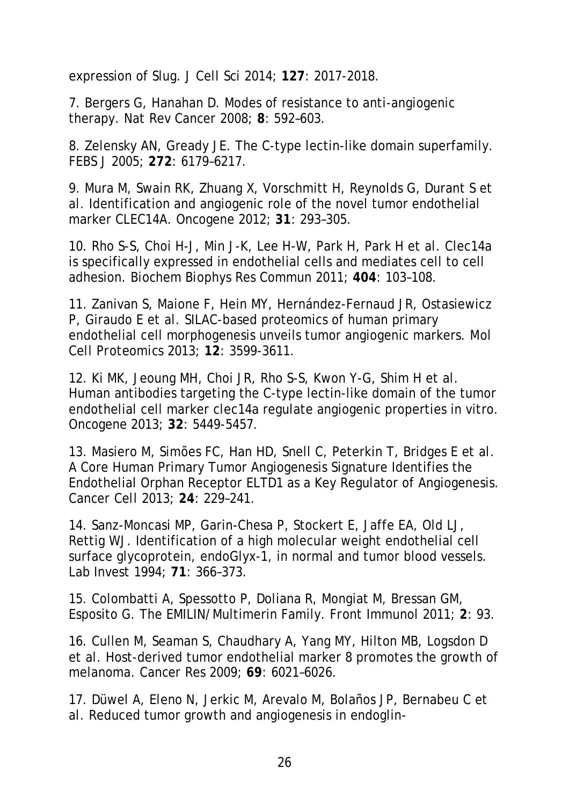expression of Slug. *J Cell Sci* 2014; **127**: 2017-2018.

7. Bergers G, Hanahan D. Modes of resistance to anti-angiogenic therapy. *Nat Rev Cancer* 2008; **8**: 592–603.

8. Zelensky AN, Gready JE. The C-type lectin-like domain superfamily. *FEBS J* 2005; **272**: 6179–6217.

9. Mura M, Swain RK, Zhuang X, Vorschmitt H, Reynolds G, Durant S *et al*. Identification and angiogenic role of the novel tumor endothelial marker CLEC14A. *Oncogene* 2012; **31**: 293–305.

10. Rho S-S, Choi H-J, Min J-K, Lee H-W, Park H, Park H *et al*. Clec14a is specifically expressed in endothelial cells and mediates cell to cell adhesion. *Biochem Biophys Res Commun* 2011; **404**: 103–108.

11. Zanivan S, Maione F, Hein MY, Hernández-Fernaud JR, Ostasiewicz P, Giraudo E *et al*. SILAC-based proteomics of human primary endothelial cell morphogenesis unveils tumor angiogenic markers. *Mol Cell Proteomics* 2013; **12**: 3599-3611.

12. Ki MK, Jeoung MH, Choi JR, Rho S-S, Kwon Y-G, Shim H *et al*. Human antibodies targeting the C-type lectin-like domain of the tumor endothelial cell marker clec14a regulate angiogenic properties in vitro. *Oncogene* 2013; **32**: 5449-5457.

13. Masiero M, Simões FC, Han HD, Snell C, Peterkin T, Bridges E *et al*. A Core Human Primary Tumor Angiogenesis Signature Identifies the Endothelial Orphan Receptor ELTD1 as a Key Regulator of Angiogenesis. *Cancer Cell* 2013; **24**: 229–241.

14. Sanz-Moncasi MP, Garin-Chesa P, Stockert E, Jaffe EA, Old LJ, Rettig WJ. Identification of a high molecular weight endothelial cell surface glycoprotein, endoGlyx-1, in normal and tumor blood vessels. *Lab Invest* 1994; **71**: 366–373.

15. Colombatti A, Spessotto P, Doliana R, Mongiat M, Bressan GM, Esposito G. The EMILIN/Multimerin Family. *Front Immunol* 2011; **2**: 93.

16. Cullen M, Seaman S, Chaudhary A, Yang MY, Hilton MB, Logsdon D *et al*. Host-derived tumor endothelial marker 8 promotes the growth of melanoma. *Cancer Res* 2009; **69**: 6021–6026.

17. Düwel A, Eleno N, Jerkic M, Arevalo M, Bolaños JP, Bernabeu C *et al*. Reduced tumor growth and angiogenesis in endoglin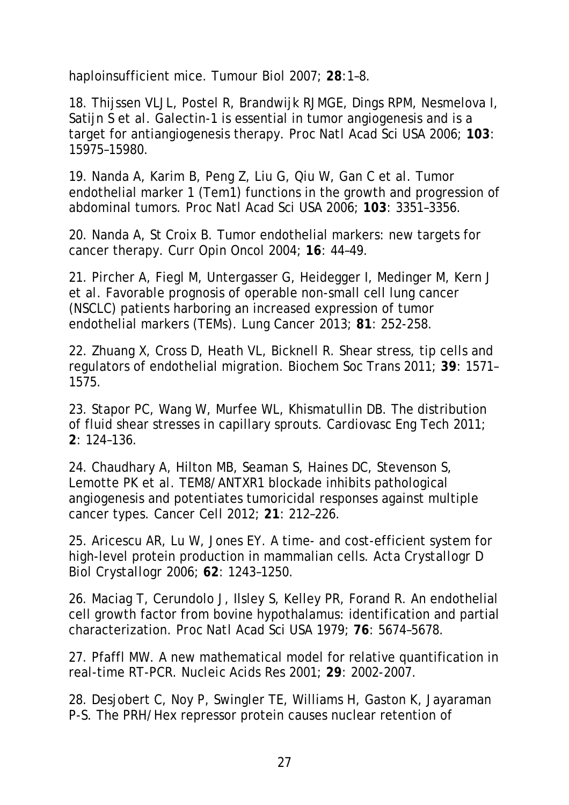haploinsufficient mice. *Tumour Biol* 2007; **28**:1–8.

18. Thijssen VLJL, Postel R, Brandwijk RJMGE, Dings RPM, Nesmelova I, Satijn S *et al*. Galectin-1 is essential in tumor angiogenesis and is a target for antiangiogenesis therapy. *Proc Natl Acad Sci* USA 2006; **103**: 15975–15980.

19. Nanda A, Karim B, Peng Z, Liu G, Qiu W, Gan C *et al*. Tumor endothelial marker 1 (Tem1) functions in the growth and progression of abdominal tumors. *Proc Natl Acad Sci* USA 2006; **103**: 3351–3356.

20. Nanda A, St Croix B. Tumor endothelial markers: new targets for cancer therapy. *Curr Opin Oncol* 2004; **16**: 44–49.

21. Pircher A, Fiegl M, Untergasser G, Heidegger I, Medinger M, Kern J *et al*. Favorable prognosis of operable non-small cell lung cancer (NSCLC) patients harboring an increased expression of tumor endothelial markers (TEMs). *Lung Cancer* 2013; **81**: 252-258.

22. Zhuang X, Cross D, Heath VL, Bicknell R. Shear stress, tip cells and regulators of endothelial migration. *Biochem Soc Trans* 2011; **39**: 1571– 1575.

23. Stapor PC, Wang W, Murfee WL, Khismatullin DB. The distribution of fluid shear stresses in capillary sprouts. *Cardiovasc Eng Tech* 2011; **2**: 124–136.

24. Chaudhary A, Hilton MB, Seaman S, Haines DC, Stevenson S, Lemotte PK *et al*. TEM8/ANTXR1 blockade inhibits pathological angiogenesis and potentiates tumoricidal responses against multiple cancer types. *Cancer Cell* 2012; **21**: 212–226.

25. Aricescu AR, Lu W, Jones EY. A time- and cost-efficient system for high-level protein production in mammalian cells. *Acta Crystallogr D Biol Crystallogr* 2006; **62**: 1243–1250.

26. Maciag T, Cerundolo J, Ilsley S, Kelley PR, Forand R. An endothelial cell growth factor from bovine hypothalamus: identification and partial characterization. *Proc Natl Acad Sci* USA 1979; **76**: 5674–5678.

27. Pfaffl MW. A new mathematical model for relative quantification in real-time RT-PCR. *Nucleic Acids Res* 2001; **29**: 2002-2007.

28. Desjobert C, Noy P, Swingler TE, Williams H, Gaston K, Jayaraman P-S. The PRH/Hex repressor protein causes nuclear retention of